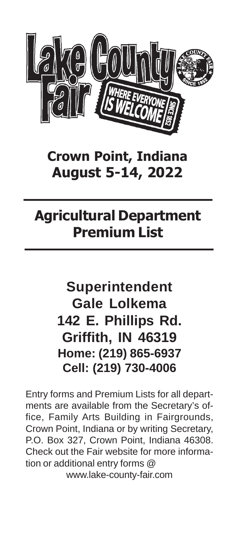

## **Crown Point, Indiana August 5-14, 2022**

## **Agricultural Department Premium List**

## **Superintendent Gale Lolkema 142 E. Phillips Rd. Griffith, IN 46319 Home: (219) 865-6937 Cell: (219) 730-4006**

Entry forms and Premium Lists for all departments are available from the Secretary's office, Family Arts Building in Fairgrounds, Crown Point, Indiana or by writing Secretary, P.O. Box 327, Crown Point, Indiana 46308. Check out the Fair website for more information or additional entry forms @ www.lake-county-fair.com

-1-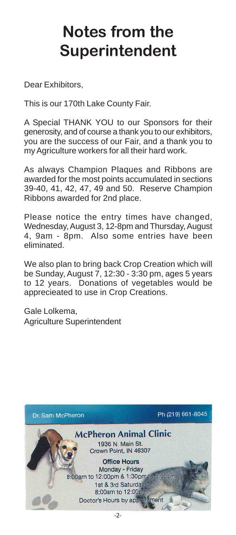## **Notes from the Superintendent**

Dear Exhibitors,

This is our 170th Lake County Fair.

A Special THANK YOU to our Sponsors for their generosity, and of course a thank you to our exhibitors, you are the success of our Fair, and a thank you to my Agriculture workers for all their hard work.

As always Champion Plaques and Ribbons are awarded for the most points accumulated in sections 39-40, 41, 42, 47, 49 and 50. Reserve Champion Ribbons awarded for 2nd place.

Please notice the entry times have changed, Wednesday, August 3, 12-8pm and Thursday, August 4, 9am - 8pm. Also some entries have been eliminated.

We also plan to bring back Crop Creation which will be Sunday, August 7, 12:30 - 3:30 pm, ages 5 years to 12 years. Donations of vegetables would be apprecieated to use in Crop Creations.

Gale Lolkema, Agriculture Superintendent

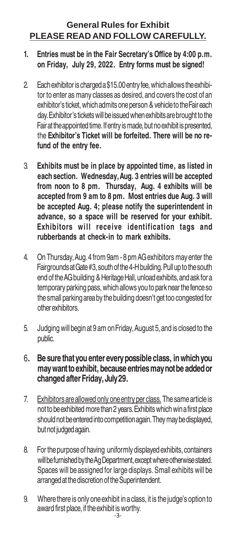#### **General Rules for Exhibit PLEASE READ AND FOLLOW CAREFULLY.**

#### **1. Entries must be in the Fair Secretary's Office by 4:00 p.m. on Friday, July 29, 2022. Entry forms must be signed!**

- 2. Each exhibitor is charged a \$15.00 entry fee, which allows the exhibitor to enter as many classes as desired, and covers the cost of an exhibitor's ticket, which admits one person & vehicle to the Fair each day. Exhibitor's tickets will be issued when exhibits are brought to the Fair at the appointed time. If entry is made, but no exhibit is presented, the **Exhibitor's Ticket will be forfeited. There will be no refund of the entry fee.**
- 3. **Exhibits must be in place by appointed time, as listed in each section. Wednesday, Aug. 3 entries will be accepted from noon to 8 pm. Thursday, Aug. 4 exhibits will be accepted from 9 am to 8 pm. Most entries due Aug. 3 will be accepted Aug. 4; please notify the superintendent in advance, so a space will be reserved for your exhibit. Exhibitors will receive identification tags and rubberbands at check-in to mark exhibits.**
- 4. On Thursday, Aug. 4 from 9am 8 pm AG exhibitors may enter the Fairgrounds at Gate #3, south of the 4-H building. Pull up to the south end of the AG building & Heritage Hall, unload exhibits, and ask for a temporary parking pass, which allows you to park near the fence so the small parking area by the building doesn't get too congested for other exhibitors.
- 5. Judging will begin at 9 am on Friday, August 5, and is closed to the public.

#### 6**. Be sure that you enter every possible class, in which you may want to exhibit, because entries may not be added or changed after Friday, July 29.**

- 7. Exhibitors are allowed only one entry per class. The same article is not to be exhibited more than 2 years. Exhibits which win a first place should not be entered into competition again. They may be displayed, but not judged again.
- 8. For the purpose of having uniformly displayed exhibits, containers will be furnished by the Ag Department, except where otherwise stated. Spaces will be assigned for large displays. Small exhibits will be arranged at the discretion of the Superintendent.
- 9. Where there is only one exhibit in a class, it is the judge's option to award first place, if the exhibit is worthy.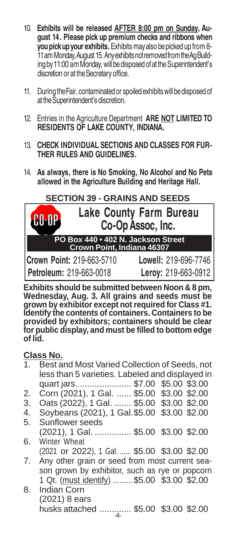- 10. **Exhibits will be released AFTER 8:00 pm on Sunday, August 14. Please pick up premium checks and ribbons when you pick up your exhibits.** Exhibits may also be picked up from 8- 11 am Monday, August 15. Any exhibits not removed from the Ag Building by 11:00 am Monday, will be disposed of at the Superintendent's discretion or at the Secretary office.
- 11. During the Fair, contaminated or spoiled exhibits will be disposed of at the Superintendent's discretion.
- 12. Entries in the Agriculture Department **ARE NOT LIMITED TO RESIDENTS OF LAKE COUNTY, INDIANA.**
- 13. **CHECK INDIVIDUAL SECTIONS AND CLASSES FOR FUR-THER RULES AND GUIDELINES.**
- 14. **As always, there is No Smoking, No Alcohol and No Pets allowed in the Agriculture Building and Heritage Hall.**

#### **SECTION 39 - GRAINS AND SEEDS**



**Exhibits should be submitted between Noon & 8 pm, Wednesday, Aug. 3. All grains and seeds must be grown by exhibitor except not required for Class #1. Identify the contents of containers. Containers to be provided by exhibitors; containers should be clear for public display, and must be filled to bottom edge of lid.**

#### **Class No.**

- 1. Best and Most Varied Collection of Seeds, not less than 5 varieties. Labeled and displayed in quart jars. ..................... \$7.00 \$5.00 \$3.00 2. Corn (2021), 1 Gal. ...... \$5.00 \$3.00 \$2.00
- 3. Oats (2022), 1 Gal. ....... \$5.00 \$3.00 \$2.00
- 4. Soybeans (2021), 1 Gal.\$5.00 \$3.00 \$2.00
- 5. Sunflower seeds (2021), 1 Gal................ \$5.00 \$3.00 \$2.00 6. Winter Wheat
- (2021 or 2022), 1 Gal. ...... \$5.00 \$3.00 \$2.00

7. Any other grain or seed from most current season grown by exhibitor, such as rye or popcorn 1 Qt. (must identify) .........\$5.00 \$3.00 \$2.00

-4- husks attached ............. \$5.00 \$3.00 \$2.00 8. Indian Corn (2021) 8 ears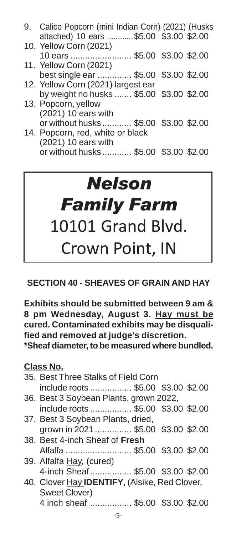| 9. Calico Popcorn (mini Indian Corn) (2021) (Husks |  |  |
|----------------------------------------------------|--|--|
| attached) 10 ears  \$5.00 \$3.00 \$2.00            |  |  |
| 10. Yellow Corn (2021)                             |  |  |
| 10 ears  \$5.00 \$3.00 \$2.00                      |  |  |
| 11. Yellow Corn (2021)                             |  |  |
| best single ear  \$5.00 \$3.00 \$2.00              |  |  |
| 12. Yellow Corn (2021) largest ear                 |  |  |
| by weight no husks  \$5.00 \$3.00 \$2.00           |  |  |
| 13. Popcorn, yellow                                |  |  |
| (2021) 10 ears with                                |  |  |
| or without husks  \$5.00 \$3.00 \$2.00             |  |  |
| 14. Popcorn, red, white or black                   |  |  |
| (2021) 10 ears with                                |  |  |
| or without husks  \$5.00 \$3.00 \$2.00             |  |  |

# *Nelson Family Farm* 10101 Grand Blvd. Crown Point, IN

#### **SECTION 40 - SHEAVES OF GRAIN AND HAY**

**Exhibits should be submitted between 9 am & 8 pm Wednesday, August 3. Hay must be cured. Contaminated exhibits may be disqualified and removed at judge's discretion.**

**\*Sheaf diameter, to be measured where bundled.**

| 35. Best Three Stalks of Field Corn           |  |  |  |  |  |  |  |  |
|-----------------------------------------------|--|--|--|--|--|--|--|--|
| include roots  \$5.00 \$3.00 \$2.00           |  |  |  |  |  |  |  |  |
| 36. Best 3 Soybean Plants, grown 2022,        |  |  |  |  |  |  |  |  |
| include roots  \$5.00 \$3.00 \$2.00           |  |  |  |  |  |  |  |  |
| 37. Best 3 Soybean Plants, dried,             |  |  |  |  |  |  |  |  |
| grown in 2021  \$5.00 \$3.00 \$2.00           |  |  |  |  |  |  |  |  |
| 38. Best 4-inch Sheaf of Fresh                |  |  |  |  |  |  |  |  |
| Alfalfa  \$5.00 \$3.00 \$2.00                 |  |  |  |  |  |  |  |  |
| 39. Alfalfa Hay, (cured)                      |  |  |  |  |  |  |  |  |
| 4-inch Sheaf \$5.00 \$3.00 \$2.00             |  |  |  |  |  |  |  |  |
| 40. Clover Hay IDENTIFY, (Alsike, Red Clover, |  |  |  |  |  |  |  |  |
| Sweet Clover)                                 |  |  |  |  |  |  |  |  |
| 4 inch sheaf  \$5.00 \$3.00 \$2.00            |  |  |  |  |  |  |  |  |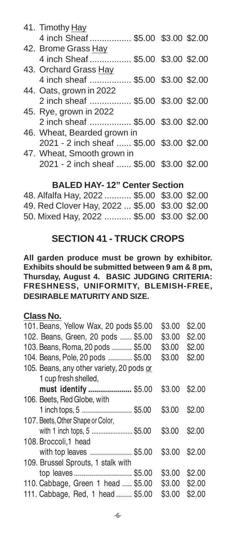| 41. Timothy Hay                           |  |
|-------------------------------------------|--|
| 4 inch Sheaf  \$5.00 \$3.00 \$2.00        |  |
| 42. Brome Grass Hay                       |  |
| 4 inch Sheaf  \$5.00 \$3.00 \$2.00        |  |
| 43. Orchard Grass Hay                     |  |
| 4 inch sheaf  \$5.00 \$3.00 \$2.00        |  |
| 44. Oats, grown in 2022                   |  |
| 2 inch sheaf  \$5.00 \$3.00 \$2.00        |  |
| 45. Rye, grown in 2022                    |  |
| 2 inch sheaf  \$5.00 \$3.00 \$2.00        |  |
| 46. Wheat, Bearded grown in               |  |
| 2021 - 2 inch sheaf  \$5.00 \$3.00 \$2.00 |  |
| 47. Wheat, Smooth grown in                |  |
| 2021 - 2 inch sheaf  \$5.00 \$3.00 \$2.00 |  |
|                                           |  |

#### **BALED HAY- 12" Center Section**

| 48. Alfalfa Hay, 2022  \$5.00 \$3.00 \$2.00    |  |  |
|------------------------------------------------|--|--|
| 49. Red Clover Hay, 2022  \$5.00 \$3.00 \$2.00 |  |  |
| 50. Mixed Hay, 2022  \$5.00 \$3.00 \$2.00      |  |  |

#### **SECTION 41 - TRUCK CROPS**

**All garden produce must be grown by exhibitor. Exhibits should be submitted between 9 am & 8 pm, Thursday, August 4. BASIC JUDGING CRITERIA: FRESHNESS, UNIFORMITY, BLEMISH-FREE, DESIRABLE MATURITY AND SIZE.**

| 101. Beans, Yellow Wax, 20 pods \$5.00    | \$3.00 | \$2.00 |
|-------------------------------------------|--------|--------|
| 102. Beans, Green, 20 pods  \$5.00        | \$3.00 | \$2.00 |
| 103. Beans, Roma, 20 pods  \$5.00         | \$3.00 | \$2.00 |
| 104. Beans, Pole, 20 pods  \$5.00         | \$3.00 | \$2.00 |
| 105. Beans, any other variety, 20 pods or |        |        |
| 1 cup fresh shelled,                      |        |        |
| must identify  \$5.00                     | \$3.00 | \$2.00 |
| 106. Beets, Red Globe, with               |        |        |
| 1 inch tops, 5 \$5.00                     | \$3.00 | \$2.00 |
| 107. Beets, Other Shape or Color,         |        |        |
| with 1 inch tops, 5 \$5.00                | \$3.00 | \$2.00 |
| 108. Broccoli, 1 head                     |        |        |
| with top leaves  \$5.00                   | \$3.00 | \$2.00 |
| 109. Brussel Sprouts, 1 stalk with        |        |        |
| top leaves\$5.00                          | \$3.00 | \$2.00 |
| 110. Cabbage, Green 1 head  \$5.00        | \$3.00 | \$2.00 |
| 111. Cabbage, Red, 1 head  \$5.00         | \$3.00 | \$2.00 |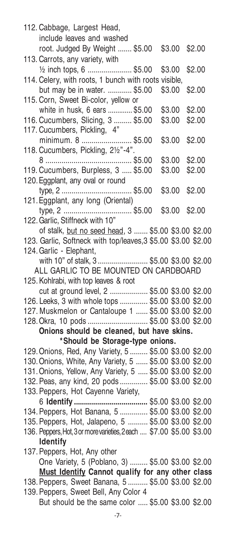| 112. Cabbage, Largest Head,                                          |               |        |
|----------------------------------------------------------------------|---------------|--------|
| include leaves and washed                                            |               |        |
| root. Judged By Weight  \$5.00                                       | \$3.00 \$2.00 |        |
| 113. Carrots, any variety, with                                      |               |        |
| 1/2 inch tops, 6  \$5.00                                             | \$3.00        |        |
|                                                                      |               | \$2.00 |
| 114. Celery, with roots, 1 bunch with roots visible,                 |               |        |
| but may be in water.  \$5.00                                         | \$3.00        | \$2.00 |
| 115. Corn, Sweet Bi-color, yellow or                                 |               |        |
| white in husk, 6 ears  \$5.00                                        | \$3.00        | \$2.00 |
| 116. Cucumbers, Slicing, 3  \$5.00                                   | \$3.00        | \$2.00 |
| 117. Cucumbers, Pickling, 4"                                         |               |        |
| minimum. 8  \$5.00                                                   | \$3.00        | \$2.00 |
| 118. Cucumbers, Pickling, 21/2"-4".                                  |               |        |
|                                                                      | \$3.00        | \$2.00 |
| 119. Cucumbers, Burpless, 3  \$5.00                                  | \$3.00        | \$2.00 |
| 120. Eggplant, any oval or round                                     |               |        |
|                                                                      | \$3.00 \$2.00 |        |
|                                                                      |               |        |
| 121. Eggplant, any long (Oriental)                                   |               |        |
|                                                                      | \$3.00 \$2.00 |        |
| 122. Garlic, Stiffneck with 10"                                      |               |        |
| of stalk, but no seed head, 3  \$5.00 \$3.00 \$2.00                  |               |        |
| 123. Garlic, Softneck with top/leaves, 3 \$5.00 \$3.00 \$2.00        |               |        |
| 124. Garlic - Elephant,                                              |               |        |
| with 10" of stalk, 3 \$5.00 \$3.00 \$2.00                            |               |        |
| ALL GARLIC TO BE MOUNTED ON CARDBOARD                                |               |        |
| 125. Kohlrabi, with top leaves & root                                |               |        |
| cut at ground level, 2  \$5.00 \$3.00 \$2.00                         |               |        |
| 126. Leeks, 3 with whole tops  \$5.00 \$3.00 \$2.00                  |               |        |
| 127. Muskmelon or Cantaloupe 1  \$5.00 \$3.00 \$2.00                 |               |        |
| 128. Okra, 10 pods  \$5.00 \$3.00 \$2.00                             |               |        |
| Onions should be cleaned, but have skins.                            |               |        |
| *Should be Storage-type onions.                                      |               |        |
| 129. Onions, Red, Any Variety, 5  \$5.00 \$3.00 \$2.00               |               |        |
| 130. Onions, White, Any Variety, 5  \$5.00 \$3.00 \$2.00             |               |        |
| 131. Onions, Yellow, Any Variety, 5  \$5.00 \$3.00 \$2.00            |               |        |
| 132. Peas, any kind, 20 pods  \$5.00 \$3.00 \$2.00                   |               |        |
|                                                                      |               |        |
| 133. Peppers, Hot Cayenne Variety,                                   |               |        |
|                                                                      |               |        |
| 134. Peppers, Hot Banana, 5  \$5.00 \$3.00 \$2.00                    |               |        |
| 135. Peppers, Hot, Jalapeno, 5  \$5.00 \$3.00 \$2.00                 |               |        |
| 136. Peppers, Hot, 3 or more varieties, 2 each  \$7.00 \$5.00 \$3.00 |               |        |
| Identify                                                             |               |        |
| 137. Peppers, Hot, Any other                                         |               |        |
| One Variety, 5 (Poblano, 3)  \$5.00 \$3.00 \$2.00                    |               |        |
| Must Identify Cannot qualify for any other class                     |               |        |
| 138. Peppers, Sweet Banana, 5  \$5.00 \$3.00 \$2.00                  |               |        |
| 139. Peppers, Sweet Bell, Any Color 4                                |               |        |
| But should be the same color  \$5.00 \$3.00 \$2.00                   |               |        |
|                                                                      |               |        |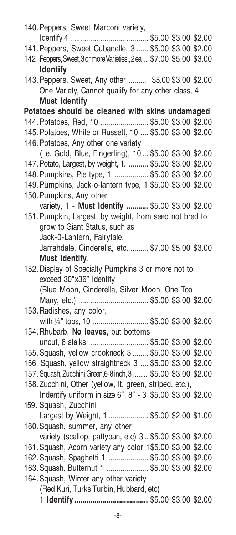| 140. Peppers, Sweet Marconi variety,                                  |                                            |
|-----------------------------------------------------------------------|--------------------------------------------|
|                                                                       |                                            |
| 141. Peppers, Sweet Cubanelle, 3  \$5.00 \$3.00 \$2.00                |                                            |
| 142. Peppers, Sweet, 3 or more Varieties., 2 ea. \$7.00 \$5.00 \$3.00 |                                            |
| Identify                                                              |                                            |
| 143. Peppers, Sweet, Any other  \$5.00 \$3.00 \$2.00                  |                                            |
| One Variety, Cannot qualify for any other class, 4                    |                                            |
| <b>Must Identify</b>                                                  |                                            |
| Potatoes should be cleaned with skins undamaged                       |                                            |
| 144. Potatoes, Red, 10  \$5.00 \$3.00 \$2.00                          |                                            |
| 145. Potatoes, White or Russett, 10  \$5.00 \$3.00 \$2.00             |                                            |
| 146. Potatoes, Any other one variety                                  |                                            |
| (i.e. Gold, Blue, Fingerling), 10  \$5.00 \$3.00 \$2.00               |                                            |
| 147. Potato, Largest, by weight, 1.  \$5.00 \$3.00 \$2.00             |                                            |
| 148. Pumpkins, Pie type, 1  \$5.00 \$3.00 \$2.00                      |                                            |
| 149. Pumpkins, Jack-o-lantern type, 1 \$5.00 \$3.00 \$2.00            |                                            |
| 150. Pumpkins, Any other                                              |                                            |
| variety, 1 - Must Identify  \$5.00 \$3.00 \$2.00                      |                                            |
| 151. Pumpkin, Largest, by weight, from seed not bred to               |                                            |
| grow to Giant Status, such as                                         |                                            |
| Jack-0-Lantern, Fairytale,                                            |                                            |
| Jarrahdale, Cinderella, etc.  \$7.00 \$5.00 \$3.00                    |                                            |
| Must Identify.                                                        |                                            |
| 152. Display of Specialty Pumpkins 3 or more not to                   |                                            |
| exceed 30"x36" Identify                                               |                                            |
| (Blue Moon, Cinderella, Silver Moon, One Too                          |                                            |
| Many, etc.)  \$5.00 \$3.00 \$2.00                                     |                                            |
|                                                                       |                                            |
| 153. Radishes, any color,<br>with 1/2" tops, 10  \$5.00 \$3.00 \$2.00 |                                            |
| 154. Rhubarb, No leaves, but bottoms                                  |                                            |
| uncut, 8 stalks  \$5.00 \$3.00 \$2.00                                 |                                            |
| 155. Squash, yellow crookneck 3  \$5.00 \$3.00 \$2.00                 |                                            |
| 156. Squash, yellow straightneck 3  \$5.00 \$3.00 \$2.00              |                                            |
| 157. Squash, Zucchini, Green, 6-8 inch, 3  \$5.00 \$3.00 \$2.00       |                                            |
| 158. Zucchini, Other (yellow, lt. green, striped, etc.),              |                                            |
| Indentify uniform in size 6", 8" - 3 \$5.00 \$3.00 \$2.00             |                                            |
| 159. Squash, Zucchini                                                 |                                            |
|                                                                       |                                            |
|                                                                       |                                            |
|                                                                       | Largest by Weight, 1  \$5.00 \$2.00 \$1.00 |
| 160. Squash, summer, any other                                        |                                            |
| variety (scallop, pattypan, etc) 3 \$5.00 \$3.00 \$2.00               |                                            |
| 161. Squash, Acorn variety any color 1\$5.00 \$3.00 \$2.00            |                                            |
| 162. Squash, Spaghetti 1  \$5.00 \$3.00 \$2.00                        |                                            |
| 163. Squash, Butternut 1  \$5.00 \$3.00 \$2.00                        |                                            |
| 164. Squash, Winter any other variety                                 |                                            |
| (Red Kuri, Turks Turbin, Hubbard, etc)                                |                                            |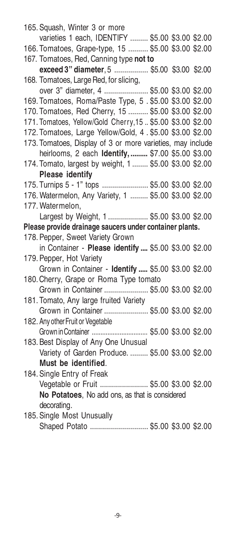| 165. Squash, Winter 3 or more                               |  |  |
|-------------------------------------------------------------|--|--|
| varieties 1 each, IDENTIFY  \$5.00 \$3.00 \$2.00            |  |  |
| 166. Tomatoes, Grape-type, 15  \$5.00 \$3.00 \$2.00         |  |  |
| 167. Tomatoes, Red, Canning type not to                     |  |  |
| exceed 3" diameter, 5  \$5.00 \$3.00 \$2.00                 |  |  |
| 168. Tomatoes, Large Red, for slicing,                      |  |  |
| over 3" diameter, 4  \$5.00 \$3.00 \$2.00                   |  |  |
| 169. Tomatoes, Roma/Paste Type, 5. \$5.00 \$3.00 \$2.00     |  |  |
| 170. Tomatoes, Red Cherry, 15  \$5.00 \$3.00 \$2.00         |  |  |
| 171. Tomatoes, Yellow/Gold Cherry, 15  \$5.00 \$3.00 \$2.00 |  |  |
| 172. Tomatoes, Large Yellow/Gold, 4. \$5.00 \$3.00 \$2.00   |  |  |
| 173. Tomatoes, Display of 3 or more varieties, may include  |  |  |
| heirlooms, 2 each Identify,  \$7.00 \$5.00 \$3.00           |  |  |
| 174. Tomato, largest by weight, 1  \$5.00 \$3.00 \$2.00     |  |  |
| <b>Please identify</b>                                      |  |  |
| 175. Turnips 5 - 1" tops  \$5.00 \$3.00 \$2.00              |  |  |
| 176. Watermelon, Any Variety, 1  \$5.00 \$3.00 \$2.00       |  |  |
| 177. Watermelon,                                            |  |  |
| Largest by Weight, 1  \$5.00 \$3.00 \$2.00                  |  |  |
| Please provide drainage saucers under container plants.     |  |  |
| 178. Pepper, Sweet Variety Grown                            |  |  |
| in Container - Please identify  \$5.00 \$3.00 \$2.00        |  |  |
| 179. Pepper, Hot Variety                                    |  |  |
| Grown in Container - Identify  \$5.00 \$3.00 \$2.00         |  |  |
| 180. Cherry, Grape or Roma Type tomato                      |  |  |
| Grown in Container  \$5.00 \$3.00 \$2.00                    |  |  |
| 181. Tomato, Any large fruited Variety                      |  |  |
| Grown in Container  \$5.00 \$3.00 \$2.00                    |  |  |
| 182. Any other Fruit or Vegetable                           |  |  |
| Grown in Container  \$5.00 \$3.00 \$2.00                    |  |  |
| 183. Best Display of Any One Unusual                        |  |  |
| Variety of Garden Produce.  \$5.00 \$3.00 \$2.00            |  |  |
| Must be identified.                                         |  |  |
| 184. Single Entry of Freak                                  |  |  |
| Vegetable or Fruit  \$5.00 \$3.00 \$2.00                    |  |  |
| No Potatoes, No add ons, as that is considered              |  |  |
| decorating.                                                 |  |  |
| 185. Single Most Unusually                                  |  |  |
| Shaped Potato  \$5.00 \$3.00 \$2.00                         |  |  |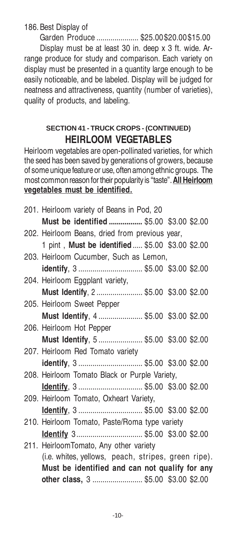186.Best Display of

Garden Produce ..................... \$25.00\$20.00\$15.00 Display must be at least 30 in. deep x 3 ft. wide. Arrange produce for study and comparison. Each variety on display must be presented in a quantity large enough to be easily noticeable, and be labeled. Display will be judged for neatness and attractiveness, quantity (number of varieties), quality of products, and labeling.

#### **SECTION 41 - TRUCK CROPS - (CONTINUED) HEIRLOOM VEGETABLES**

Heirloom vegetables are open-pollinated varieties, for which the seed has been saved by generations of growers, because of some unique feature or use, often among ethnic groups. The most common reason for their popularity is "taste". **All Heirloom vegetables must be identified.**

| 201. Heirloom variety of Beans in Pod, 20           |  |
|-----------------------------------------------------|--|
| Must be identified  \$5.00 \$3.00 \$2.00            |  |
| 202. Heirloom Beans, dried from previous year,      |  |
| 1 pint, Must be identified  \$5.00 \$3.00 \$2.00    |  |
| 203. Heirloom Cucumber, Such as Lemon,              |  |
| identify, 3  \$5.00 \$3.00 \$2.00                   |  |
| 204. Heirloom Eggplant variety,                     |  |
| Must Identify, 2  \$5.00 \$3.00 \$2.00              |  |
| 205. Heirloom Sweet Pepper                          |  |
| Must Identify, 4  \$5.00 \$3.00 \$2.00              |  |
| 206. Heirloom Hot Pepper                            |  |
| Must Identify, 5  \$5.00 \$3.00 \$2.00              |  |
| 207. Heirloom Red Tomato variety                    |  |
| identify, 3  \$5.00 \$3.00 \$2.00                   |  |
| 208. Heirloom Tomato Black or Purple Variety,       |  |
| ldentify, 3  \$5.00 \$3.00 \$2.00                   |  |
| 209. Heirloom Tomato, Oxheart Variety,              |  |
| Identify, 3  \$5.00 \$3.00 \$2.00                   |  |
| 210. Heirloom Tomato, Paste/Roma type variety       |  |
| Identify 3 \$5.00 \$3.00 \$2.00                     |  |
| 211. HeirloomTomato, Any other variety              |  |
| (i.e. whites, yellows, peach, stripes, green ripe). |  |
| Must be identified and can not qualify for any      |  |
| other class, 3  \$5.00 \$3.00 \$2.00                |  |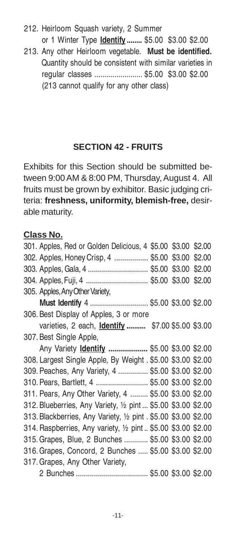- 212. Heirloom Squash variety, 2 Summer
	- or 1 Winter Type **Identify........** \$5.00 \$3.00 \$2.00
- 213. Any other Heirloom vegetable. **Must be identified.** Quantity should be consistent with similar varieties in regular classes ........................ \$5.00 \$3.00 \$2.00 (213 cannot qualify for any other class)

#### **SECTION 42 - FRUITS**

Exhibits for this Section should be submitted between 9:00 AM & 8:00 PM, Thursday, August 4. All fruits must be grown by exhibitor. Basic judging criteria: **freshness, uniformity, blemish-free,** desirable maturity.

| 301. Apples, Red or Golden Delicious, 4 \$5.00 \$3.00 \$2.00    |  |  |
|-----------------------------------------------------------------|--|--|
| 302. Apples, Honey Crisp, 4  \$5.00 \$3.00 \$2.00               |  |  |
| 303. Apples, Gala, 4  \$5.00 \$3.00 \$2.00                      |  |  |
| 304. Apples, Fuji, 4  \$5.00 \$3.00 \$2.00                      |  |  |
| 305. Apples, Any Other Variety,                                 |  |  |
| Must Identify 4  \$5.00 \$3.00 \$2.00                           |  |  |
| 306. Best Display of Apples, 3 or more                          |  |  |
| varieties, 2 each, <b>Identify </b> \$7.00 \$5.00 \$3.00        |  |  |
| 307. Best Single Apple,                                         |  |  |
| Any Variety <b>Identify </b> \$5.00 \$3.00 \$2.00               |  |  |
| 308. Largest Single Apple, By Weight . \$5.00 \$3.00 \$2.00     |  |  |
| 309. Peaches, Any Variety, 4  \$5.00 \$3.00 \$2.00              |  |  |
| 310. Pears, Bartlett, 4  \$5.00 \$3.00 \$2.00                   |  |  |
| 311. Pears, Any Other Variety, 4  \$5.00 \$3.00 \$2.00          |  |  |
| 312. Blueberries, Any Variety, 1/2 pint  \$5.00 \$3.00 \$2.00   |  |  |
| 313. Blackberries, Any Variety, 1/2 pint . \$5.00 \$3.00 \$2.00 |  |  |
| 314. Raspberries, Any variety, 1/2 pint \$5.00 \$3.00 \$2.00    |  |  |
| 315. Grapes, Blue, 2 Bunches  \$5.00 \$3.00 \$2.00              |  |  |
| 316. Grapes, Concord, 2 Bunches  \$5.00 \$3.00 \$2.00           |  |  |
| 317. Grapes, Any Other Variety,                                 |  |  |
| 2 Bunches  \$5.00 \$3.00 \$2.00                                 |  |  |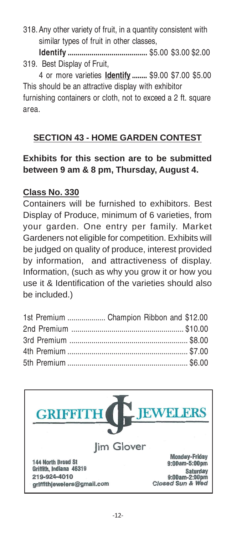318.Any other variety of fruit, in a quantity consistent with similar types of fruit in other classes,

**Identify ........................................** \$5.00 \$3.00 \$2.00 319. Best Display of Fruit,

4 or more varieties **Identify ........** \$9.00 \$7.00 \$5.00 This should be an attractive display with exhibitor

furnishing containers or cloth, not to exceed a 2 ft. square area.

#### **SECTION 43 - HOME GARDEN CONTEST**

#### **Exhibits for this section are to be submitted between 9 am & 8 pm, Thursday, August 4.**

#### **Class No. 330**

Containers will be furnished to exhibitors. Best Display of Produce, minimum of 6 varieties, from your garden. One entry per family. Market Gardeners not eligible for competition. Exhibits will be judged on quality of produce, interest provided by information, and attractiveness of display. Information, (such as why you grow it or how you use it & Identification of the varieties should also be included.)

| 1st Premium  Champion Ribbon and \$12.00 |
|------------------------------------------|
|                                          |
|                                          |
|                                          |
|                                          |

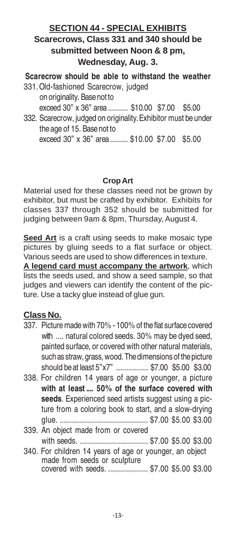#### **SECTION 44 - SPECIAL EXHIBITS Scarecrows, Class 331 and 340 should be submitted between Noon & 8 pm, Wednesday, Aug. 3.**

**Scarecrow should be able to withstand the weather** 331.Old-fashioned Scarecrow, judged on originality. Base not to

exceed 30" x 36" area .......... \$10.00 \$7.00 \$5.00

332. Scarecrow, judged on originality. Exhibitor must be under the age of 15. Base not to exceed 30" x 36" area......... \$10.00 \$7.00 \$5.00

#### **Crop Art**

Material used for these classes need not be grown by exhibitor, but must be crafted by exhibitor. Exhibits for classes 337 through 352 should be submitted for judging between 9am & 8pm, Thursday, August 4.

**Seed Art** is a craft using seeds to make mosaic type pictures by gluing seeds to a flat surface or object. Various seeds are used to show differences in texture.

**A legend card must accompany the artwork**, which lists the seeds used, and show a seed sample, so that judges and viewers can identify the content of the picture. Use a tacky glue instead of glue gun.

- 337. Picture made with 70% 100% of the flat surface covered with .... natural colored seeds. 30% may be dyed seed, painted surface, or covered with other natural materials, such as straw, grass, wood. The dimensions of the picture should be at least 5"x7" ................ \$7.00 \$5.00 \$3.00
- 338. For children 14 years of age or younger, a picture **with at least.... 50% of the surface covered with seeds**. Experienced seed artists suggest using a picture from a coloring book to start, and a slow-drying glue. ............................................ \$7.00 \$5.00 \$3.00
- 339. An object made from or covered with seeds. .................................. \$7.00 \$5.00 \$3.00 340. For children 14 years of age or younger, an object
- made from seeds or sculpture covered with seeds. .................... \$7.00 \$5.00 \$3.00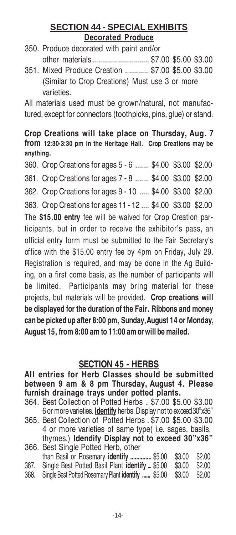#### **SECTION 44 - SPECIAL EXHIBITS Decorated Produce**

|  | 350. Produce decorated with paint and/or |  |                                       |  |
|--|------------------------------------------|--|---------------------------------------|--|
|  |                                          |  | other materials  \$7.00 \$5.00 \$3.00 |  |

351. Mixed Produce Creation ............ \$7.00 \$5.00 \$3.00 (Similar to Crop Creations) Must use 3 or more varieties.

All materials used must be grown/natural, not manufactured, except for connectors (toothpicks, pins, glue) or stand.

**Crop Creations will take place on Thursday, Aug. 7 from 12:30-3:30 pm in the Heritage Hall. Crop Creations may be anything.**

360. Crop Creations for ages 5 - 6 ....... \$4.00 \$3.00 \$2.00 361. Crop Creations for ages 7 - 8 ....... \$4.00 \$3.00 \$2.00 362. Crop Creations for ages 9 - 10 ..... \$4.00 \$3.00 \$2.00 363. Crop Creations for ages 11 - 12 .... \$4.00 \$3.00 \$2.00 The **\$15.00 entry** fee will be waived for Crop Creation participants, but in order to receive the exhibitor's pass, an official entry form must be submitted to the Fair Secretary's office with the \$15.00 entry fee by 4pm on Friday, July 29. Registration is required, and may be done in the Ag Building, on a first come basis, as the number of participants will be limited. Participants may bring material for these projects, but materials will be provided. **Crop creations will be displayed for the duration of the Fair. Ribbons and money can be picked up after 8:00 pm, Sunday, August 14 or Monday, August 15, from 8:00 am to 11:00 am or will be mailed.**

#### **SECTION 45 - HERBS**

**All entries for Herb Classes should be submitted between 9 am & 8 pm Thursday, August 4. Please furnish drainage trays under potted plants.**

364. Best Collection of Potted Herbs .. \$7.00 \$5.00 \$3.00 6 or more varieties. **Identify** herbs. Display not to exceed 30"x36"

365. Best Collection of Potted Herbs . \$7.00 \$5.00 \$3.00 4 or more varieties of same type( i.e. sages, basils, thymes.) **Idendify Display not to exceed 30"x36"**

|          | 366. Best Single Potted Herb, other                                                                                                     |  |                                               |
|----------|-----------------------------------------------------------------------------------------------------------------------------------------|--|-----------------------------------------------|
|          | than Basil or Rosemary identify  \$5.00 \$3.00 \$2.00                                                                                   |  |                                               |
|          | 367. Single Best Potted Basil Plant identify  \$5.00 \$3.00 \$2.00                                                                      |  |                                               |
| $\cdots$ | $\mathcal{L}$ and the contract of the contract of $\mathcal{L}$ and $\mathcal{L}$ and $\mathcal{L}$ and $\mathcal{L}$ and $\mathcal{L}$ |  | $\mathbf{A} \mathbf{A} \mathbf{A} \mathbf{A}$ |

368. Single Best Potted Rosemary Plant **identify ......** \$5.00 \$3.00 \$2.00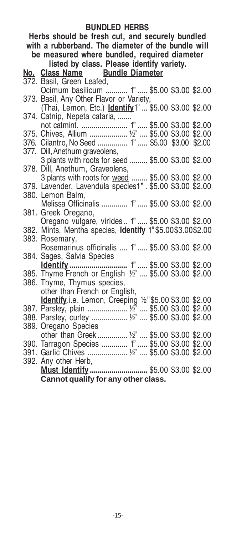#### **BUNDLED HERBS**

**Herbs should be fresh cut, and securely bundled with a rubberband. The diameter of the bundle will be measured where bundled, required diameter listed by class. Please identify variety. Bundle Diameter** 372. Basil, Green Leafed, Ocimum basilicum ........... 1"..... \$5.00 \$3.00 \$2.00 373. Basil, Any Other Flavor or Variety, (Thai, Lemon, Etc.) **Identify**1"... \$5.00 \$3.00 \$2.00 374. Catnip, Nepeta cataria, ....... not catmint. ....................... 1"..... \$5.00 \$3.00 \$2.00 375. Chives, Allium ................... ½" .... \$5.00 \$3.00 \$2.00 376. Cilantro, No Seed ............... 1"..... \$5.00 \$3.00 \$2.00 377. Dill, Anethum graveolens, 3 plants with roots for seed ......... \$5.00 \$3.00 \$2.00 378. Dill, Anethum, Graveolens, 3 plants with roots for weed ........ \$5.00 \$3.00 \$2.00 379. Lavender, Lavendula species1". \$5.00 \$3.00 \$2.00 380. Lemon Balm, Melissa Officinalis ............. 1"..... \$5.00 \$3.00 \$2.00 381. Greek Oregano, Oregano vulgare, virides.. 1"..... \$5.00 \$3.00 \$2.00 382. Mints, Mentha species, **Identify** 1"\$5.00\$3.00\$2.00 383. Rosemary, Rosemarinus officinalis .... 1"..... \$5.00 \$3.00 \$2.00 384. Sages, Salvia Species **Identify .............................** 1"..... \$5.00 \$3.00 \$2.00 385. Thyme French or English ½" .... \$5.00 \$3.00 \$2.00 386. Thyme, Thymus species, other than French or English, **Identify**.i.e. Lemon, Creeping ½"\$5.00 \$3.00 \$2.00 387. Parsley, plain .................... ½" .... \$5.00 \$3.00 \$2.00 388. Parsley, curley .................. ½" .... \$5.00 \$3.00 \$2.00 389. Oregano Species other than Greek ............... ½" .... \$5.00 \$3.00 \$2.00 390. Tarragon Species ............. 1"..... \$5.00 \$3.00 \$2.00 391. Garlic Chives .................... ½" .... \$5.00 \$3.00 \$2.00 392. Any other Herb, **Must Identify.............................** \$5.00 \$3.00 \$2.00 **Cannot qualify for any other class.**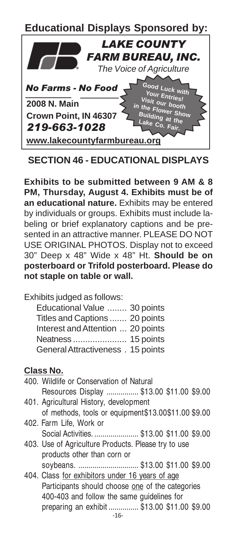**Educational Displays Sponsored by:**



#### **SECTION 46 - EDUCATIONAL DISPLAYS**

**Exhibits to be submitted between 9 AM & 8 PM, Thursday, August 4. Exhibits must be of an educational nature.** Exhibits may be entered by individuals or groups. Exhibits must include labeling or brief explanatory captions and be presented in an attractive manner. PLEASE DO NOT USE ORIGINAL PHOTOS. Display not to exceed 30" Deep x 48" Wide x 48" Ht. **Should be on posterboard or Trifold posterboard. Please do not staple on table or wall.**

Exhibits judged as follows:

| Educational Value  30 points       |  |
|------------------------------------|--|
| Titles and Captions  20 points     |  |
| Interest and Attention  20 points  |  |
|                                    |  |
| General Attractiveness . 15 points |  |

| 400. Wildlife or Conservation of Natural             |
|------------------------------------------------------|
| Resources Display  \$13.00 \$11.00 \$9.00            |
| 401. Agricultural History, development               |
| of methods, tools or equipment \$13.00\$11.00 \$9.00 |
| 402. Farm Life, Work or                              |
| Social Activities.  \$13.00 \$11.00 \$9.00           |
| 403. Use of Agriculture Products. Please try to use  |
| products other than corn or                          |
| soybeans.  \$13.00 \$11.00 \$9.00                    |
| 404. Class for exhibitors under 16 years of age      |
| Participants should choose one of the categories     |
| 400-403 and follow the same guidelines for           |
| preparing an exhibit  \$13.00 \$11.00 \$9.00         |
|                                                      |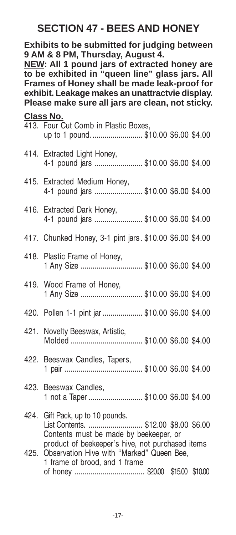#### **SECTION 47 - BEES AND HONEY**

**Exhibits to be submitted for judging between 9 AM & 8 PM, Thursday, August 4.**

**NEW: All 1 pound jars of extracted honey are to be exhibited in "queen line" glass jars. All Frames of Honey shall be made leak-proof for exhibit. Leakage makes an unattractvie display. Please make sure all jars are clean, not sticky.**

### **Class No.** 413. Four Cut Comb in Plastic Boxes, up to 1 pound........................... \$10.00 \$6.00 \$4.00 414. Extracted Light Honey, 4-1 pound jars ........................ \$10.00 \$6.00 \$4.00 415. Extracted Medium Honey, 4-1 pound jars ........................ \$10.00 \$6.00 \$4.00 416. Extracted Dark Honey, 4-1 pound jars ........................ \$10.00 \$6.00 \$4.00 417. Chunked Honey, 3-1 pint jars. \$10.00 \$6.00 \$4.00 418. Plastic Frame of Honey, 1 Any Size ............................... \$10.00 \$6.00 \$4.00 419. Wood Frame of Honey, 1 Any Size ............................... \$10.00 \$6.00 \$4.00 420. Pollen 1-1 pint jar.................... \$10.00 \$6.00 \$4.00 421. Novelty Beeswax, Artistic, Molded .................................... \$10.00 \$6.00 \$4.00 422. Beeswax Candles, Tapers, 1 pair ....................................... \$10.00 \$6.00 \$4.00 423. Beeswax Candles, 1 not a Taper........................... \$10.00 \$6.00 \$4.00 424. Gift Pack, up to 10 pounds. List Contents. ............................... \$12.00 \$8.00 \$6.00 Contents must be made by beekeeper, or product of beekeeper's hive, not purchased items 425. Observation Hive with "Marked" Queen Bee, 1 frame of brood, and 1 frame of honey ................................... \$20.00 \$15.00 \$10.00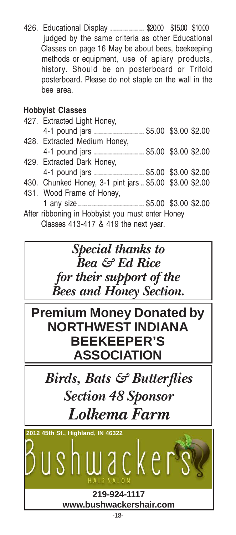426. Educational Display ................. \$20.00 \$15.00 \$10.00 judged by the same criteria as other Educational Classes on page 16 May be about bees, beekeeping methods or equipment, use of apiary products, history. Should be on posterboard or Trifold posterboard. Please do not staple on the wall in the bee area.

#### **Hobbyist Classes**

| 427. Extracted Light Honey,                            |  |  |
|--------------------------------------------------------|--|--|
| 4-1 pound jars  \$5.00 \$3.00 \$2.00                   |  |  |
| 428. Extracted Medium Honey,                           |  |  |
| 4-1 pound jars  \$5.00 \$3.00 \$2.00                   |  |  |
| 429. Extracted Dark Honey,                             |  |  |
| 4-1 pound jars  \$5.00 \$3.00 \$2.00                   |  |  |
| 430. Chunked Honey, 3-1 pint jars \$5.00 \$3.00 \$2.00 |  |  |
| 431. Wood Frame of Honey,                              |  |  |
| 1 any size  \$5.00 \$3.00 \$2.00                       |  |  |
| After ribboning in Hobbyist you must enter Honey       |  |  |
| $O_{0.00000}$ $(110.117.0.110$ the next year.          |  |  |

Classes 413-417 & 419 the next year.

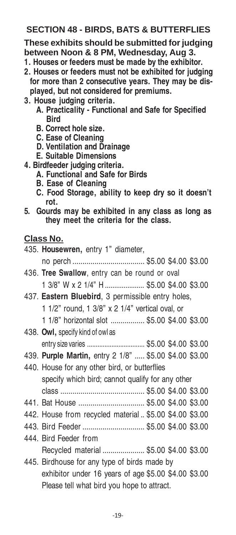#### **SECTION 48 - BIRDS, BATS & BUTTERFLIES**

**These exhibits should be submitted for judging between Noon & 8 PM, Wednesday, Aug 3.**

- **1. Houses or feeders must be made by the exhibitor.**
- **2. Houses or feeders must not be exhibited for judging for more than 2 consecutive years. They may be displayed, but not considered for premiums.**
- **3. House judging criteria.**
	- **A. Practicality Functional and Safe for Specified Bird**
	- **B. Correct hole size.**
	- **C. Ease of Cleaning**
	- **D. Ventilation and Drainage**
	- **E. Suitable Dimensions**
- **4. Birdfeeder judging criteria.**
	- **A. Functional and Safe for Birds**
	- **B. Ease of Cleaning**
	- **C. Food Storage, ability to keep dry so it doesn't rot.**
- **5. Gourds may be exhibited in any class as long as they meet the criteria for the class.**

| 435. Housewren, entry 1" diameter,                      |  |  |
|---------------------------------------------------------|--|--|
| no perch  \$5.00 \$4.00 \$3.00                          |  |  |
| 436. Tree Swallow, entry can be round or oval           |  |  |
| 1 3/8" W x 2 1/4" H  \$5.00 \$4.00 \$3.00               |  |  |
| 437. Eastern Bluebird, 3 permissible entry holes,       |  |  |
| 1 1/2" round, 1 3/8" x 2 1/4" vertical oval, or         |  |  |
| 1 1/8" horizontal slot  \$5.00 \$4.00 \$3.00            |  |  |
| 438. Owl, specify kind of owl as                        |  |  |
| entry size varies  \$5.00 \$4.00 \$3.00                 |  |  |
| 439. Purple Martin, entry 2 1/8"  \$5.00 \$4.00 \$3.00  |  |  |
| 440. House for any other bird, or butterflies           |  |  |
| specify which bird; cannot qualify for any other        |  |  |
|                                                         |  |  |
| 441. Bat House  \$5.00 \$4.00 \$3.00                    |  |  |
| 442. House from recycled material  \$5.00 \$4.00 \$3.00 |  |  |
| 443. Bird Feeder  \$5.00 \$4.00 \$3.00                  |  |  |
| 444. Bird Feeder from                                   |  |  |
| Recycled material  \$5.00 \$4.00 \$3.00                 |  |  |
| 445. Birdhouse for any type of birds made by            |  |  |
| exhibitor under 16 years of age \$5.00 \$4.00 \$3.00    |  |  |
| Please tell what bird you hope to attract.              |  |  |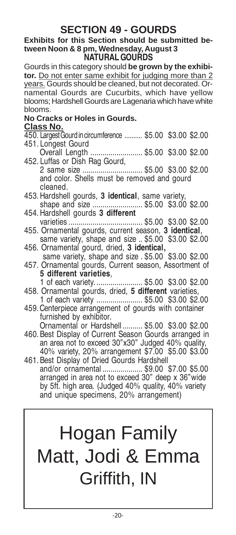#### **SECTION 49 - GOURDS**

#### **Exhibits for this Section should be submitted between Noon & 8 pm, Wednesday, August 3 NATURAL GOURDS**

Gourds in this category should **be grown by the exhibitor.** Do not enter same exhibit for judging more than 2 years. Gourds should be cleaned, but not decorated. Or- $\overline{\mathsf{hame}}$ ntal Gourds are Cucurbits, which have yellow blooms; Hardshell Gourds are Lagenaria which have white blooms.

#### **No Cracks or Holes in Gourds.**

#### **Class No.**

| UIASS NU.                                                 |  |
|-----------------------------------------------------------|--|
| 450. Largest Gourd in circumference  \$5.00 \$3.00 \$2.00 |  |
| 451. Longest Gourd                                        |  |
| Overall Length  \$5.00 \$3.00 \$2.00                      |  |
| 452. Luffas or Dish Rag Gourd,                            |  |
| 2 same size  \$5.00 \$3.00 \$2.00                         |  |
| and color. Shells must be removed and gourd               |  |
| cleaned.                                                  |  |
| 453. Hardshell gourds, 3 identical, same variety,         |  |
| shape and size  \$5.00 \$3.00 \$2.00                      |  |
| 454. Hardshell gourds 3 different                         |  |
|                                                           |  |
| 455. Ornamental gourds, current season, 3 identical,      |  |
| same variety, shape and size  \$5.00 \$3.00 \$2.00        |  |
| 456. Ornamental gourd, dried, 3 identical,                |  |
| same variety, shape and size . \$5.00 \$3.00 \$2.00       |  |
| 457. Ornamental gourds, Current season, Assortment of     |  |
| 5 different varieties,                                    |  |
| 1 of each variety.  \$5.00 \$3.00 \$2.00                  |  |
| 458. Ornamental gourds, dried, 5 different varieties,     |  |
| 1 of each variety  \$5.00 \$3.00 \$2.00                   |  |
| 459. Centerpiece arrangement of gourds with container     |  |
| furnished by exhibitor.                                   |  |
| Ornamental or Hardshell \$5.00 \$3.00 \$2.00              |  |
| 460. Best Display of Current Season Gourds arranged in    |  |
| an area not to exceed 30"x30" Judged 40% quality,         |  |
| 40% variety, 20% arrangement \$7.00 \$5.00 \$3.00         |  |
| 461. Best Display of Dried Gourds Hardshell               |  |
| and/or ornamental  \$9.00 \$7.00 \$5.00                   |  |
| arranged in area not to exceed 30" deep x 36"wide         |  |

arranged in area not to exceed 30" deep x 36"wide by 5ft. high area. (Judged 40% quality, 40% variety and unique specimens, 20% arrangement)

## **45th & Colfax, Griffith, IN 46319** Hogan Family Matt, Jodi & Emma Griffith, IN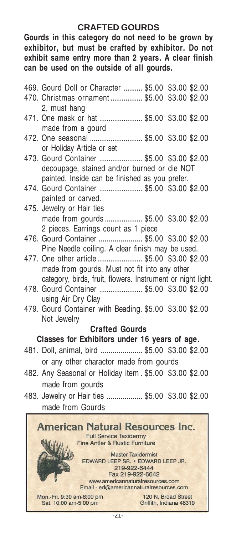#### **CRAFTED GOURDS**

**Gourds in this category do not need to be grown by exhibitor, but must be crafted by exhibitor. Do not exhibit same entry more than 2 years. A clear finish can be used on the outside of all gourds.**

|                                                                                                                                                                                                        | 469. Gourd Doll or Character  \$5.00 \$3.00 \$2.00                                                                                          |  |  |  |
|--------------------------------------------------------------------------------------------------------------------------------------------------------------------------------------------------------|---------------------------------------------------------------------------------------------------------------------------------------------|--|--|--|
|                                                                                                                                                                                                        | 470. Christmas ornament \$5.00 \$3.00 \$2.00<br>2, must hang                                                                                |  |  |  |
|                                                                                                                                                                                                        | 471. One mask or hat  \$5.00 \$3.00 \$2.00<br>made from a gourd                                                                             |  |  |  |
|                                                                                                                                                                                                        | 472. One seasonal  \$5.00 \$3.00 \$2.00<br>or Holiday Article or set                                                                        |  |  |  |
|                                                                                                                                                                                                        | 473. Gourd Container  \$5.00 \$3.00 \$2.00<br>decoupage, stained and/or burned or die NOT<br>painted. Inside can be finished as you prefer. |  |  |  |
|                                                                                                                                                                                                        | 474. Gourd Container  \$5.00 \$3.00 \$2.00<br>painted or carved.                                                                            |  |  |  |
|                                                                                                                                                                                                        | 475. Jewelry or Hair ties<br>made from gourds  \$5.00 \$3.00 \$2.00<br>2 pieces. Earrings count as 1 piece                                  |  |  |  |
|                                                                                                                                                                                                        | 476. Gourd Container  \$5.00 \$3.00 \$2.00<br>Pine Needle coiling. A clear finish may be used.                                              |  |  |  |
|                                                                                                                                                                                                        | 477. One other article \$5.00 \$3.00 \$2.00<br>made from gourds. Must not fit into any other                                                |  |  |  |
|                                                                                                                                                                                                        | category, birds, fruit, flowers. Instrument or night light.<br>478. Gourd Container  \$5.00 \$3.00 \$2.00<br>using Air Dry Clay             |  |  |  |
|                                                                                                                                                                                                        | 479. Gourd Container with Beading. \$5.00 \$3.00 \$2.00<br>Not Jewelry                                                                      |  |  |  |
|                                                                                                                                                                                                        | <b>Crafted Gourds</b>                                                                                                                       |  |  |  |
|                                                                                                                                                                                                        | Classes for Exhibitors under 16 years of age.<br>481. Doll, animal, bird  \$5.00 \$3.00 \$2.00                                              |  |  |  |
|                                                                                                                                                                                                        | or any other charactor made from gourds                                                                                                     |  |  |  |
|                                                                                                                                                                                                        | 482. Any Seasonal or Holiday item . \$5.00 \$3.00 \$2.00<br>made from gourds                                                                |  |  |  |
|                                                                                                                                                                                                        | 483. Jewelry or Hair ties  \$5.00 \$3.00 \$2.00<br>made from Gourds                                                                         |  |  |  |
| <b>American Natural Resources Inc.</b><br><b>Full Service Taxidermy</b><br><b>Fine Antler &amp; Rustic Furniture</b><br><b>Master Taxidermist</b><br>EDWARD LEEP SR. . EDWARD LEEP JR.<br>219-922-6444 |                                                                                                                                             |  |  |  |

Fax 219-922-6642

www.americannaturalresources.com Email - ed@americannaturalresources.com

Mon.-Fri. 9:30 am-6:00 pm Sat. 10:00 am-5:00 pm

120 N. Broad Street Griffith, Indiana 46319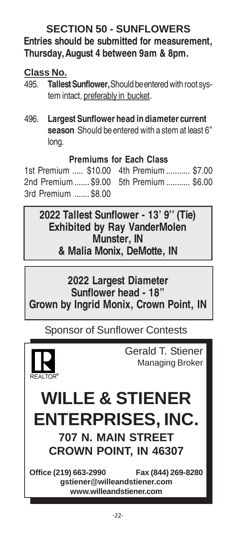#### **SECTION 50 - SUNFLOWERS Entries should be submitted for measurement, Thursday, August 4 between 9am & 8pm.**

#### **Class No.**

- 495. **Tallest Sunflower,** Should be entered with root system intact, preferably in bucket.
- 496. **Largest Sunflower head in diameter current season** Should be entered with a stem at least 6" long.

#### **Premiums for Each Class**

1st Premium ..... \$10.00 4th Premium........... \$7.00 2nd Premium.......\$9.00 5th Premium........... \$6.00 3rd Premium .......\$8.00

**2022 Tallest Sunflower - 13' 9'' (Tie) Exhibited by Ray VanderMolen Munster, IN & Malia Monix, DeMotte, IN**

**2022 Largest Diameter Sunflower head - 18" Grown by Ingrid Monix, Crown Point, IN**

Sponsor of Sunflower Contests



Gerald T. Stiener Managing Broker

## **WILLE & STIENER ENTERPRISES, INC. 707 N. MAIN STREET CROWN POINT, IN 46307**

**Office (219) 663-2990 Fax (844) 269-8280 gstiener@willeandstiener.com www.willeandstiener.com**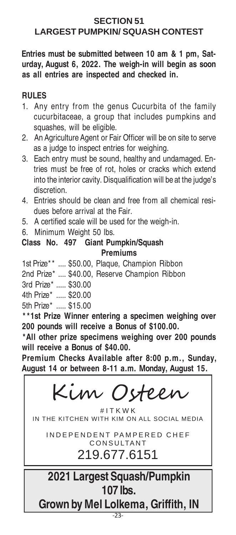#### **SECTION 51 LARGEST PUMPKIN/ SQUASH CONTEST**

**Entries must be submitted between 10 am & 1 pm, Saturday, August 6, 2022. The weigh-in will begin as soon as all entries are inspected and checked in.**

#### **RULES**

- 1. Any entry from the genus Cucurbita of the family cucurbitaceae, a group that includes pumpkins and squashes, will be eligible.
- 2. An Agriculture Agent or Fair Officer will be on site to serve as a judge to inspect entries for weighing.
- 3. Each entry must be sound, healthy and undamaged. Entries must be free of rot, holes or cracks which extend into the interior cavity. Disqualification will be at the judge's discretion.
- 4. Entries should be clean and free from all chemical residues before arrival at the Fair.
- 5. A certified scale will be used for the weigh-in.
- 6. Minimum Weight 50 lbs.

#### **Class No. 497 Giant Pumpkin/Squash Premiums**

1st Prize\*\* .... \$50.00, Plaque, Champion Ribbon

2nd Prize\* .... \$40.00, Reserve Champion Ribbon

3rd Prize\* ..... \$30.00

4th Prize\* ..... \$20.00

5th Prize\* ..... \$15.00

**\*\*1st Prize Winner entering a specimen weighing over 200 pounds will receive a Bonus of \$100.00.**

**\*All other prize specimens weighing over 200 pounds will receive a Bonus of \$40.00.**

**Premium Checks Available after 8:00 p.m., Sunday, August 14 or between 8-11 a.m. Monday, August 15.**

Kim Osteen

#ITKWK IN THE KITCHEN WITH KIM ON ALL SOCIAL MEDIA

INDEPENDENT PAMPERED CHEF CONSULTANT 219.677.6151

**2021 Largest Squash/Pumpkin 107 lbs.**

**Grown by Mel Lolkema, Griffith, IN**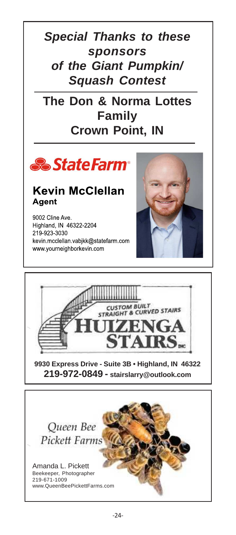## **Special Thanks to these sponsors of the Giant Pumpkin/ Squash Contest**

**The Don & Norma Lottes Family Crown Point, IN**



#### **Kevin McClellan** Agent

9002 Cline Ave. Highland, IN 46322-2204 219-923-3030 kevin.mcclellan.vabikk@statefarm.com www.yourneighborkevin.com





**9930 Express Drive - Suite 3B • Highland, IN 46322 219-972-0849 - stairslarry@outlook.com**

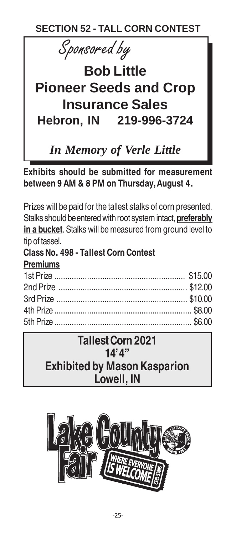**SECTION 52 - TALL CORN CONTEST**



**Exhibits should be submitted for measurement between 9 AM & 8 PM on Thursday, August 4.**

Prizes will be paid for the tallest stalks of corn presented. Stalks should be entered with root system intact, **preferably in a bucket**. Stalks will be measured from ground level to tip of tassel.

#### **Class No. 498 - Tallest Corn Contest**

| <b>Premiums</b> |  |
|-----------------|--|
|                 |  |
|                 |  |
|                 |  |
|                 |  |
|                 |  |

### **Tallest Corn 2021 14' 4" Exhibited by Mason Kasparion Lowell, IN**

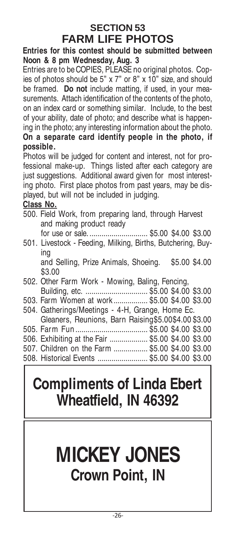### **SECTION 53 FARM LIFE PHOTOS**

**Entries for this contest should be submitted between Noon & 8 pm Wednesday, Aug. 3**

Entries are to be COPIES, PLEASE no original photos. Copies of photos should be 5" x 7" or 8" x 10" size, and should be framed. **Do not** include matting, if used, in your measurements. Attach identification of the contents of the photo, on an index card or something similar. Include, to the best of your ability, date of photo; and describe what is happening in the photo; any interesting information about the photo. **On a separate card identify people in the photo, if possible.**

Photos will be judged for content and interest, not for professional make-up. Things listed after each category are just suggestions. Additional award given for most interesting photo. First place photos from past years, may be displayed, but will not be included in judging.

#### **Class No.**

- 500. Field Work, from preparing land, through Harvest and making product ready
	- for use or sale.............................. \$5.00 \$4.00 \$3.00
- 501. Livestock Feeding, Milking, Births, Butchering, Buying and Selling, Prize Animals, Shoeing. \$5.00 \$4.00 \$3.00
- 502. Other Farm Work Mowing, Baling, Fencing, Building, etc. ............................... \$5.00 \$4.00 \$3.00 503. Farm Women at work................. \$5.00 \$4.00 \$3.00 504. Gatherings/Meetings - 4-H, Grange, Home Ec.
- Gleaners, Reunions, Barn Raising\$5.00\$4.00 \$3.00 505. Farm Fun.................................... \$5.00 \$4.00 \$3.00 506. Exhibiting at the Fair ................... \$5.00 \$4.00 \$3.00
- 507. Children on the Farm ................. \$5.00 \$4.00 \$3.00 508. Historical Events ......................... \$5.00 \$4.00 \$3.00
	- **Compliments of Linda Ebert Wheatfield, IN 46392**

# **MICKEY JONES Crown Point, IN**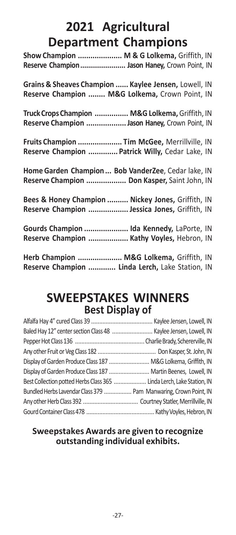## **2021 Agricultural Department Champions**

| Show Champion  M & G Lolkema, Griffith, IN<br>Reserve Champion  Jason Haney, Crown Point, IN           |
|--------------------------------------------------------------------------------------------------------|
| Grains & Sheaves Champion  Kaylee Jensen, Lowell, IN<br>Reserve Champion  M&G Lolkema, Crown Point, IN |
| Truck Crops Champion  M&G Lolkema, Griffith, IN<br>Reserve Champion  Jason Haney, Crown Point, IN      |
| Fruits Champion  Tim McGee, Merrillville, IN<br>Reserve Champion  Patrick Willy, Cedar Lake, IN        |
| Home Garden Champion  Bob VanderZee, Cedar lake, IN<br>Reserve Champion  Don Kasper, Saint John, IN    |
| Bees & Honey Champion  Nickey Jones, Griffith, IN<br>Reserve Champion  Jessica Jones, Griffith, IN     |
| Gourds Champion  Ida Kennedy, LaPorte, IN<br>Reserve Champion  Kathy Voyles, Hebron, IN                |
| Herb Champion  M&G Lolkema, Griffith, IN<br>Reserve Champion  Linda Lerch, Lake Station, IN            |

### **SWEEPSTAKES WINNERS Best Display of**

| Display of Garden Produce Class 187  M&G Lolkema, Griffith, IN        |  |
|-----------------------------------------------------------------------|--|
| Display of Garden Produce Class 187  Martin Beenes, Lowell, IN        |  |
| Best Collection potted Herbs Class 365  Linda Lerch, Lake Station, IN |  |
| Bundled Herbs Lavendar Class 379  Pam Manwaring, Crown Point, IN      |  |
|                                                                       |  |
|                                                                       |  |

#### **Sweepstakes Awards are given to recognize outstanding individual exhibits.**